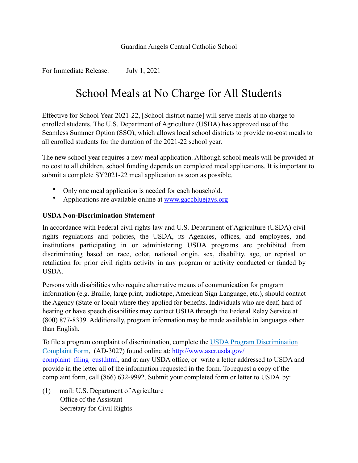## Guardian Angels Central Catholic School

For Immediate Release: July 1, 2021

## School Meals at No Charge for All Students

Effective for School Year 2021-22, [School district name] will serve meals at no charge to enrolled students. The U.S. Department of Agriculture (USDA) has approved use of the Seamless Summer Option (SSO), which allows local school districts to provide no-cost meals to all enrolled students for the duration of the 2021-22 school year.

The new school year requires a new meal application. Although school meals will be provided at no cost to all children, school funding depends on completed meal applications. It is important to submit a complete SY2021-22 meal application as soon as possible.

- Only one meal application is needed for each household.
- Applications are available online at www.gaccbluejays.org

## **USDA Non-Discrimination Statement**

In accordance with Federal civil rights law and U.S. Department of Agriculture (USDA) civil rights regulations and policies, the USDA, its Agencies, offices, and employees, and institutions participating in or administering USDA programs are prohibited from discriminating based on race, color, national origin, sex, disability, age, or reprisal or retaliation for prior civil rights activity in any program or activity conducted or funded by **USDA** 

Persons with disabilities who require alternative means of communication for program information (e.g. Braille, large print, audiotape, American Sign Language, etc.), should contact the Agency (State or local) where they applied for benefits. Individuals who are deaf, hard of hearing or have speech disabilities may contact USDA through the Federal Relay Service at (800) 877-8339. Additionally, program information may be made available in languages other than English.

To file a program complaint of discrimination, complete the [USDA Program Discrimination](http://www.ocio.usda.gov/sites/default/files/docs/2012/Complain_combined_6_8_12.pdf)  [Complaint Form,](http://www.ocio.usda.gov/sites/default/files/docs/2012/Complain_combined_6_8_12.pdf) (AD-3027) found online at: [http://www.ascr.usda.gov/](http://www.ascr.usda.gov/complaint_filing_cust.html) complaint filing cust.html, and at any USDA office, or write a letter addressed to USDA and provide in the letter all of the information requested in the form. To request a copy of the complaint form, call (866) 632-9992. Submit your completed form or letter to USDA by:

(1) mail: U.S. Department of Agriculture Office of the Assistant Secretary for Civil Rights